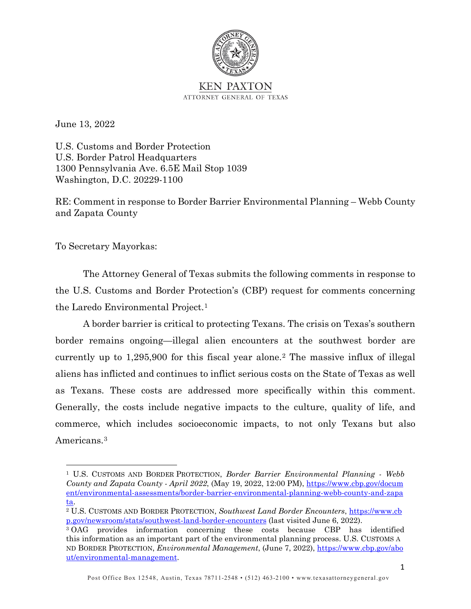

June 13, 2022

U.S. Customs and Border Protection U.S. Border Patrol Headquarters 1300 Pennsylvania Ave. 6.5E Mail Stop 1039 Washington, D.C. 20229-1100

RE: Comment in response to Border Barrier Environmental Planning – Webb County and Zapata County

To Secretary Mayorkas:

The Attorney General of Texas submits the following comments in response to the U.S. Customs and Border Protection's (CBP) request for comments concerning the Laredo Environmental Project.[1](#page-0-0)

A border barrier is critical to protecting Texans. The crisis on Texas's southern border remains ongoing—illegal alien encounters at the southwest border are currently up to 1,295,900 for this fiscal year alone.[2](#page-0-1) The massive influx of illegal aliens has inflicted and continues to inflict serious costs on the State of Texas as well as Texans. These costs are addressed more specifically within this comment. Generally, the costs include negative impacts to the culture, quality of life, and commerce, which includes socioeconomic impacts, to not only Texans but also Americans.[3](#page-0-2) 

<span id="page-0-0"></span><sup>1</sup> U.S. CUSTOMS AND BORDER PROTECTION, *Border Barrier Environmental Planning - Webb County and Zapata County - April 2022*, (May 19, 2022, 12:00 PM), [https://www.cbp.gov/docum](https://www.cbp.gov/document/environmental-assessments/border-barrier-environmental-planning-webb-county-and-zapata) [ent/environmental-assessments/border-barrier-environmental-planning-webb-county-and-zapa](https://www.cbp.gov/document/environmental-assessments/border-barrier-environmental-planning-webb-county-and-zapata) [ta.](https://www.cbp.gov/document/environmental-assessments/border-barrier-environmental-planning-webb-county-and-zapata)

<span id="page-0-1"></span><sup>2</sup> U.S. CUSTOMS AND BORDER PROTECTION, *Southwest Land Border Encounters*, [https://www.cb](https://www.cbp.gov/newsroom/stats/southwest-land-border-encounters) [p.gov/newsroom/stats/southwest-land-border-encounters](https://www.cbp.gov/newsroom/stats/southwest-land-border-encounters) (last visited June 6, 2022).

<span id="page-0-2"></span><sup>3</sup> OAG provides information concerning these costs because CBP has identified this information as an important part of the environmental planning process. U.S. CUSTOMS A ND BORDER PROTECTION, *Environmental Management*, (June 7, 2022), [https://www.cbp.gov/abo](https://www.cbp.gov/about/environmental-management) [ut/environmental-management.](https://www.cbp.gov/about/environmental-management)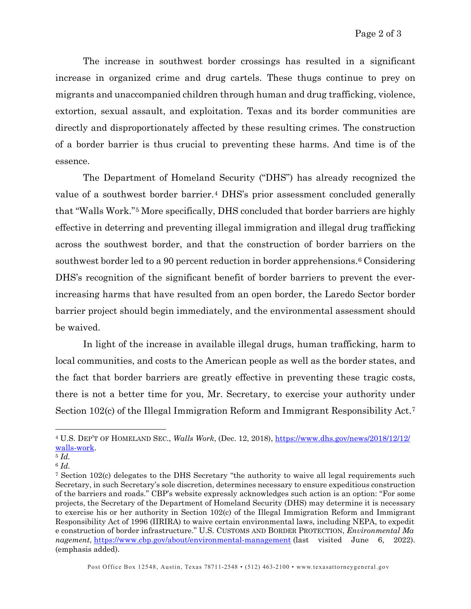The increase in southwest border crossings has resulted in a significant increase in organized crime and drug cartels. These thugs continue to prey on migrants and unaccompanied children through human and drug trafficking, violence, extortion, sexual assault, and exploitation. Texas and its border communities are directly and disproportionately affected by these resulting crimes. The construction of a border barrier is thus crucial to preventing these harms. And time is of the essence.

The Department of Homeland Security ("DHS") has already recognized the value of a southwest border barrier.[4](#page-1-0) DHS's prior assessment concluded generally that "Walls Work."[5](#page-1-1) More specifically, DHS concluded that border barriers are highly effective in deterring and preventing illegal immigration and illegal drug trafficking across the southwest border, and that the construction of border barriers on the southwest border led to a 90 percent reduction in border apprehensions.<sup>[6](#page-1-2)</sup> Considering DHS's recognition of the significant benefit of border barriers to prevent the everincreasing harms that have resulted from an open border, the Laredo Sector border barrier project should begin immediately, and the environmental assessment should be waived.

In light of the increase in available illegal drugs, human trafficking, harm to local communities, and costs to the American people as well as the border states, and the fact that border barriers are greatly effective in preventing these tragic costs, there is not a better time for you, Mr. Secretary, to exercise your authority under Section 102(c) of the Illegal Immigration Reform and Immigrant Responsibility Act.[7](#page-1-3)

<span id="page-1-0"></span><sup>4</sup> U.S. DEP'T OF HOMELAND SEC., *Walls Work*, (Dec. 12, 2018), [https://www.dhs.gov/news/2018/12/12/](https://www.dhs.gov/news/2018/12/12/walls-work) [walls-work.](https://www.dhs.gov/news/2018/12/12/walls-work) 5 *Id.*

<span id="page-1-2"></span><span id="page-1-1"></span><sup>6</sup> *Id.*

<span id="page-1-3"></span><sup>7</sup> Section 102(c) delegates to the DHS Secretary "the authority to waive all legal requirements such Secretary, in such Secretary's sole discretion, determines necessary to ensure expeditious construction of the barriers and roads." CBP's website expressly acknowledges such action is an option: "For some projects, the Secretary of the Department of Homeland Security (DHS) may determine it is necessary to exercise his or her authority in Section 102(c) of the Illegal Immigration Reform and Immigrant Responsibility Act of 1996 (IIRIRA) to waive certain environmental laws, including NEPA, to expedit e construction of border infrastructure." U.S. CUSTOMS AND BORDER PROTECTION, *Environmental Ma nagement*,<https://www.cbp.gov/about/environmental-management> (last visited June 6, 2022). (emphasis added).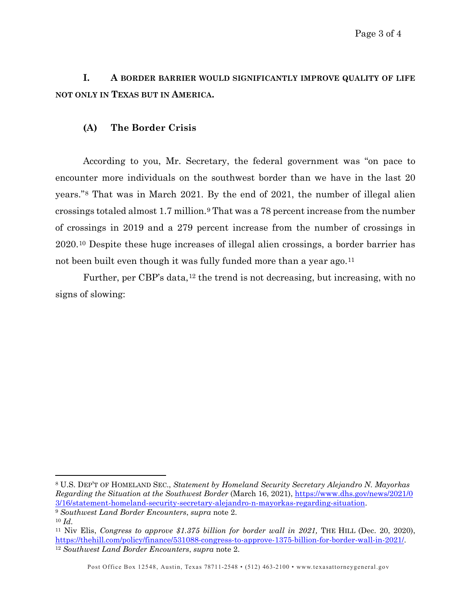**I. A BORDER BARRIER WOULD SIGNIFICANTLY IMPROVE QUALITY OF LIFE NOT ONLY IN TEXAS BUT IN AMERICA.** 

#### **(A) The Border Crisis**

According to you, Mr. Secretary, the federal government was "on pace to encounter more individuals on the southwest border than we have in the last 20 years."[8](#page-2-0) That was in March 2021. By the end of 2021, the number of illegal alien crossings totaled almost 1.7 million.[9](#page-2-1) That was a 78 percent increase from the number of crossings in 2019 and a 279 percent increase from the number of crossings in 2020.[10](#page-2-2) Despite these huge increases of illegal alien crossings, a border barrier has not been built even though it was fully funded more than a year ago.<sup>[11](#page-2-3)</sup>

Further, per CBP's data,<sup>[12](#page-2-4)</sup> the trend is not decreasing, but increasing, with no signs of slowing:

<span id="page-2-0"></span><sup>8</sup> U.S. DEP'T OF HOMELAND SEC., *Statement by Homeland Security Secretary Alejandro N. Mayorkas Regarding the Situation at the Southwest Border* (March 16, 2021), [https://www.dhs.gov/news/2021/0](https://www.dhs.gov/news/2021/03/16/statementhomelandsecuritysecretary-alejandro-n-mayorkas-regarding-situation) [3/16/statement-homeland-security-secretary-alejandro-n-mayorkas-regarding-situation.](https://www.dhs.gov/news/2021/03/16/statementhomelandsecuritysecretary-alejandro-n-mayorkas-regarding-situation) 9 *Southwest Land Border Encounters*, *supra* note 2.

<span id="page-2-2"></span><span id="page-2-1"></span><sup>10</sup> *Id.*

<span id="page-2-4"></span><span id="page-2-3"></span><sup>&</sup>lt;sup>11</sup> Niv Elis, *Congress to approve \$1.375 billion for border wall in 2021*, THE HILL (Dec. 20, 2020), [https://thehill.com/policy/finance/531088-congress-to-approve-1375-billion-for-border-wall-in-2021/.](https://thehill.com/policy/finance/531088-congress-to-approve-1375-billion-for-border-wall-in-2021/) 12 *Southwest Land Border Encounters*, *supra* note 2.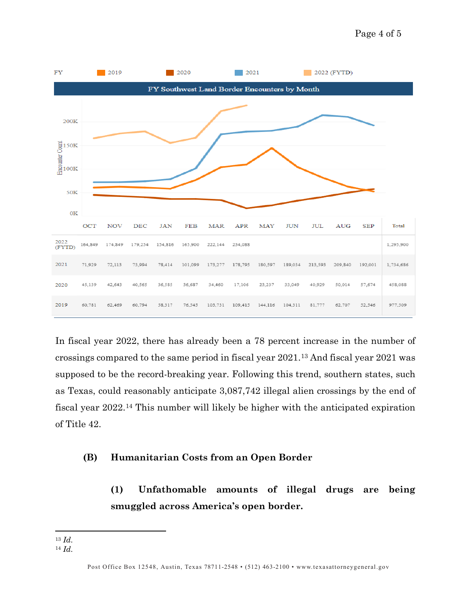

In fiscal year 2022, there has already been a 78 percent increase in the number of crossings compared to the same period in fiscal year 2021[.13](#page-3-0) And fiscal year 2021 was supposed to be the record-breaking year. Following this trend, southern states, such as Texas, could reasonably anticipate 3,087,742 illegal alien crossings by the end of fiscal year 2022[.14](#page-3-1) This number will likely be higher with the anticipated expiration of Title 42.

### **(B) Humanitarian Costs from an Open Border**

**(1) Unfathomable amounts of illegal drugs are being smuggled across America's open border.**

<span id="page-3-0"></span><sup>13</sup> *Id.*

<span id="page-3-1"></span><sup>14</sup> *Id.*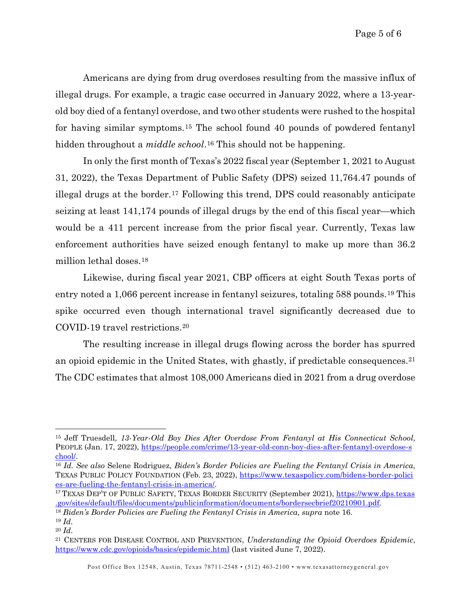Americans are dying from drug overdoses resulting from the massive influx of illegal drugs. For example, a tragic case occurred in January 2022, where a 13-yearold boy died of a fentanyl overdose, and two other students were rushed to the hospital for having similar symptoms.[15](#page-4-0) The school found 40 pounds of powdered fentanyl hidden throughout a *middle school*.<sup>[16](#page-4-1)</sup> This should not be happening.

In only the first month of Texas's 2022 fiscal year (September 1, 2021 to August 31, 2022), the Texas Department of Public Safety (DPS) seized 11,764.47 pounds of illegal drugs at the border.[17](#page-4-2) Following this trend, DPS could reasonably anticipate seizing at least 141,174 pounds of illegal drugs by the end of this fiscal year—which would be a 411 percent increase from the prior fiscal year. Currently, Texas law enforcement authorities have seized enough fentanyl to make up more than 36.2 million lethal doses.[18](#page-4-3) 

Likewise, during fiscal year 2021, CBP officers at eight South Texas ports of entry noted a 1,066 percent increase in fentanyl seizures, totaling 588 pounds.[19](#page-4-4) This spike occurred even though international travel significantly decreased due to COVID-19 travel restrictions.[20](#page-4-5) 

The resulting increase in illegal drugs flowing across the border has spurred an opioid epidemic in the United States, with ghastly, if predictable consequences.[21](#page-4-6) The CDC estimates that almost 108,000 Americans died in 2021 from a drug overdose

<span id="page-4-0"></span><sup>15</sup> Jeff Truesdell, *13-Year-Old Boy Dies After Overdose From Fentanyl at His Connecticut School*, PEOPLE (Jan. 17, 2022), [https://people.com/crime/13-year-old-conn-boy-dies-after-fentanyl-overdose-s](https://people.com/crime/13yearoldconnboydiesafterfentanyloverdoseschool/) [chool/.](https://people.com/crime/13yearoldconnboydiesafterfentanyloverdoseschool/) 16 *Id. See also* Selene Rodriguez, *Biden's Border Policies are Fueling the Fentanyl Crisis in America*,

<span id="page-4-1"></span>TEXAS PUBLIC POLICY FOUNDATION (Feb. 23, 2022), [https://www.texaspolicy.com/bidens-border-polici](https://www.texaspolicy.com/bidensborderpoliciesarefuelingthefentanylcrisisinamerica/) [es-are-fueling-the-fentanyl-crisis-in-america/.](https://www.texaspolicy.com/bidensborderpoliciesarefuelingthefentanylcrisisinamerica/)

<span id="page-4-2"></span><sup>17</sup> TEXAS DEP'T OF PUBLIC SAFETY, TEXAS BORDER SECURITY (September 2021), [https://www.dps.texas](https://www.dps.texas.gov/sites/default/files/documents/publicinformation/documents/bordersecbrief20210901.pdf) [.gov/sites/default/files/documents/publicinformation/documents/bordersecbrief20210901.pdf.](https://www.dps.texas.gov/sites/default/files/documents/publicinformation/documents/bordersecbrief20210901.pdf)

<span id="page-4-3"></span><sup>18</sup> *Biden's Border Policies are Fueling the Fentanyl Crisis in America, supra* note 16.

<sup>19</sup> *Id.*

<span id="page-4-6"></span><span id="page-4-5"></span><span id="page-4-4"></span><sup>20</sup> *Id.*

<sup>21</sup> CENTERS FOR DISEASE CONTROL AND PREVENTION, *Understanding the Opioid Overdoes Epidemic*, <https://www.cdc.gov/opioids/basics/epidemic.html> (last visited June 7, 2022).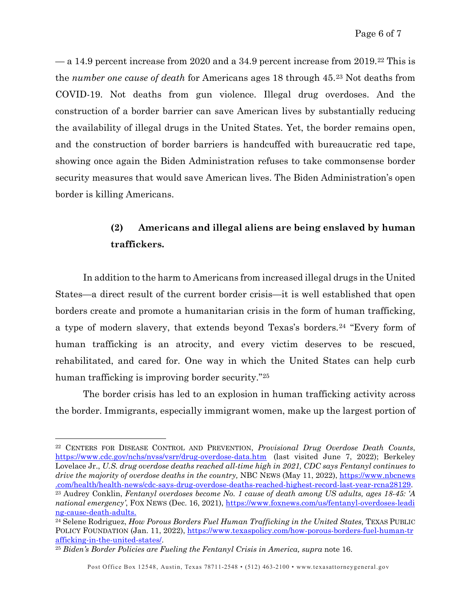— a 14.9 percent increase from 2020 and a 34.9 percent increase from 2019.[22](#page-5-0) This is the *number one cause of death* for Americans ages 18 through 45.[23](#page-5-1) Not deaths from COVID-19. Not deaths from gun violence. Illegal drug overdoses. And the construction of a border barrier can save American lives by substantially reducing the availability of illegal drugs in the United States. Yet, the border remains open, and the construction of border barriers is handcuffed with bureaucratic red tape, showing once again the Biden Administration refuses to take commonsense border security measures that would save American lives. The Biden Administration's open border is killing Americans.

# **(2) Americans and illegal aliens are being enslaved by human traffickers.**

In addition to the harm to Americans from increased illegal drugs in the United States—a direct result of the current border crisis—it is well established that open borders create and promote a humanitarian crisis in the form of human trafficking, a type of modern slavery, that extends beyond Texas's borders.[24](#page-5-2) "Every form of human trafficking is an atrocity, and every victim deserves to be rescued, rehabilitated, and cared for. One way in which the United States can help curb human trafficking is improving border security."[25](#page-5-3)

The border crisis has led to an explosion in human trafficking activity across the border. Immigrants, especially immigrant women, make up the largest portion of

<span id="page-5-0"></span><sup>22</sup> CENTERS FOR DISEASE CONTROL AND PREVENTION, *Provisional Drug Overdose Death Counts*, <https://www.cdc.gov/nchs/nvss/vsrr/drug-overdose-data.htm>(last visited June 7, 2022); Berkeley Lovelace Jr., *U.S. drug overdose deaths reached all-time high in 2021, CDC says Fentanyl continues to drive the majority of overdose deaths in the country,* NBC NEWS (May 11, 2022), [https://www.nbcnews](https://www.nbcnews.com/health/health-news/cdc-says-drug-overdose-deaths-reached-highest-record-last-year-rcna28129) [.com/health/health-news/cdc-says-drug-overdose-deaths-reached-highest-record-last-year-rcna28129.](https://www.nbcnews.com/health/health-news/cdc-says-drug-overdose-deaths-reached-highest-record-last-year-rcna28129) 23 Audrey Conklin, *Fentanyl overdoses become No. 1 cause of death among US adults, ages 18-45: 'A national emergency'*, FOX NEWS (Dec. 16, 2021), [https://www.foxnews.com/us/fentanyl-overdoses-leadi](https://www.foxnews.com/us/fentanyloverdosesleadingcausedeathadults) [ng-cause-death-adults.](https://www.foxnews.com/us/fentanyloverdosesleadingcausedeathadults) 24 Selene Rodriguez, *How Porous Borders Fuel Human Trafficking in the United States,* TEXAS PUBLIC

<span id="page-5-2"></span><span id="page-5-1"></span>POLICY FOUNDATION (Jan. 11, 2022), [https://www.texaspolicy.com/how-porous-borders-fuel-human-tr](https://www.texaspolicy.com/howporousbordersfuelhumantraffickingintheunitedstates/) [afficking-in-the-united-states/.](https://www.texaspolicy.com/howporousbordersfuelhumantraffickingintheunitedstates/) 25 *Biden's Border Policies are Fueling the Fentanyl Crisis in America, supra* note 16.

<span id="page-5-3"></span>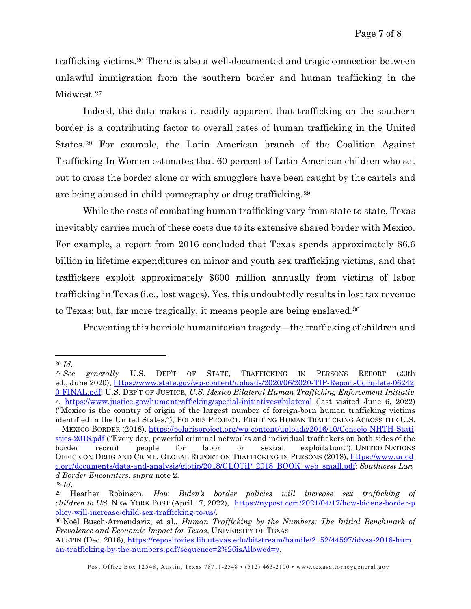trafficking victims.[26](#page-6-0) There is also a well-documented and tragic connection between unlawful immigration from the southern border and human trafficking in the Midwest.[27](#page-6-1)

Indeed, the data makes it readily apparent that trafficking on the southern border is a contributing factor to overall rates of human trafficking in the United States.[28](#page-6-2) For example, the Latin American branch of the Coalition Against Trafficking In Women estimates that 60 percent of Latin American children who set out to cross the border alone or with smugglers have been caught by the cartels and are being abused in child pornography or drug trafficking.[29](#page-6-3)

While the costs of combating human trafficking vary from state to state, Texas inevitably carries much of these costs due to its extensive shared border with Mexico. For example, a report from 2016 concluded that Texas spends approximately \$6.6 billion in lifetime expenditures on minor and youth sex trafficking victims, and that traffickers exploit approximately \$600 million annually from victims of labor trafficking in Texas (i.e., lost wages). Yes, this undoubtedly results in lost tax revenue to Texas; but, far more tragically, it means people are being enslaved.[30](#page-6-4)

Preventing this horrible humanitarian tragedy—the trafficking of children and

<span id="page-6-0"></span><sup>26</sup> *Id.*

<span id="page-6-1"></span><sup>27</sup> *See generally* U.S. DEP'T OF STATE, TRAFFICKING IN PERSONS REPORT (20th ed., June 2020), [https://www.state.gov/wp-content/uploads/2020/06/2020-TIP-Report-Complete-06242](https://www.state.gov/wpcontent/uploads/2020/06/2020TIPReportComplete062420FINAL.pdf) [0-FINAL.pdf;](https://www.state.gov/wpcontent/uploads/2020/06/2020TIPReportComplete062420FINAL.pdf) U.S. DEP'T OF JUSTICE, *U.S. Mexico Bilateral Human Trafficking Enforcement Initiativ e*, <https://www.justice.gov/humantrafficking/special-initiatives#bilateral> (last visited June 6, 2022) ("Mexico is the country of origin of the largest number of foreign-born human trafficking victims identified in the United States."); POLARIS PROJECT, FIGHTING HUMAN TRAFFICKING ACROSS THE U.S. – MEXICO BORDER (2018), [https://polarisproject.org/wp-content/uploads/2016/10/Consejo-NHTH-Stati](https://polarisproject.org/wpcontent/uploads/2016/10/ConsejoNHTHStatistics2018.pdf) [stics-2018.pdf](https://polarisproject.org/wpcontent/uploads/2016/10/ConsejoNHTHStatistics2018.pdf) ("Every day, powerful criminal networks and individual traffickers on both sides of the border recruit people for labor or sexual exploitation."); UNITED NATIONS OFFICE ON DRUG AND CRIME, GLOBAL REPORT ON TRAFFICKING IN PERSONS (2018), [https://www.unod](https://www.unodc.org/documents/data-and-analysis/glotip/2018/GLOTiP_2018_BOOK_web_small.pdf) [c.org/documents/data-and-analysis/glotip/2018/GLOTiP\\_2018\\_BOOK\\_web\\_small.pdf;](https://www.unodc.org/documents/data-and-analysis/glotip/2018/GLOTiP_2018_BOOK_web_small.pdf) *Southwest Lan d Border Encounters*, *supra* note 2.

<span id="page-6-2"></span><sup>28</sup> *Id.*

<span id="page-6-3"></span><sup>29</sup> Heather Robinson, *How Biden's border policies will increase sex trafficking of children to US*, NEW YORK POST (April 17, 2022), [https://nypost.com/2021/04/17/how-bidens-border-p](https://nypost.com/2021/04/17/how-bidens-border-policy-will-increase-child-sex-trafficking-to-us/) [olicy-will-increase-child-sex-trafficking-to-us/.](https://nypost.com/2021/04/17/how-bidens-border-policy-will-increase-child-sex-trafficking-to-us/) 30 Noël Busch-Armendariz, et al., *Human Trafficking by the Numbers: The Initial Benchmark of* 

<span id="page-6-4"></span>*Prevalence and Economic Impact for Texas*, UNIVERSITY OF TEXAS

AUSTIN (Dec. 2016), [https://repositories.lib.utexas.edu/bitstream/handle/2152/44597/idvsa-2016-hum](https://repositories.lib.utexas.edu/bitstream/handle/2152/44597/idvsa-2016-human-trafficking-by-the-numbers.pdf?sequence=2%26isAllowed=y) [an-trafficking-by-the-numbers.pdf?sequence=2%26isAllowed=y.](https://repositories.lib.utexas.edu/bitstream/handle/2152/44597/idvsa-2016-human-trafficking-by-the-numbers.pdf?sequence=2%26isAllowed=y)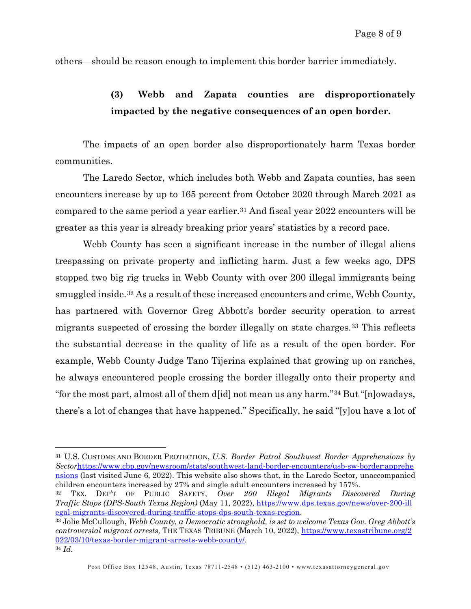others—should be reason enough to implement this border barrier immediately.

## **(3) Webb and Zapata counties are disproportionately impacted by the negative consequences of an open border.**

The impacts of an open border also disproportionately harm Texas border communities.

The Laredo Sector, which includes both Webb and Zapata counties, has seen encounters increase by up to 165 percent from October 2020 through March 2021 as compared to the same period a year earlier.[31](#page-7-0) And fiscal year 2022 encounters will be greater as this year is already breaking prior years' statistics by a record pace.

Webb County has seen a significant increase in the number of illegal aliens trespassing on private property and inflicting harm. Just a few weeks ago, DPS stopped two big rig trucks in Webb County with over 200 illegal immigrants being smuggled inside.[32](#page-7-1) As a result of these increased encounters and crime, Webb County, has partnered with Governor Greg Abbott's border security operation to arrest migrants suspected of crossing the border illegally on state charges.[33](#page-7-2) This reflects the substantial decrease in the quality of life as a result of the open border. For example, Webb County Judge Tano Tijerina explained that growing up on ranches, he always encountered people crossing the border illegally onto their property and "for the most part, almost all of them d[id] not mean us any harm."[34](#page-7-3) But "[n]owadays, there's a lot of changes that have happened." Specifically, he said "[y]ou have a lot of

<span id="page-7-0"></span><sup>31</sup> U.S. CUSTOMS AND BORDER PROTECTION, *U.S. Border Patrol Southwest Border Apprehensions by*  Sectorhttps://www.cbp.gov/newsroom/stats/southwest-land-border-encounters/usb-sw-border-apprehe [nsions](https://www.cbp.gov/newsroom/stats/southwestlandborderencounters/usbswborderapprehensions) (last visited June 6, 2022). This website also shows that, in the Laredo Sector, unaccompanied children encounters increased by 27% and single adult encounters increased by 157%. 32 TEX. DEP'T OF PUBLIC SAFETY, *Over 200 Illegal Migrants Discovered During* 

<span id="page-7-1"></span>*Traffic Stops (DPS-South Texas Region)* (May 11, 2022), [https://www.dps.texas.gov/news/over-200-ill](https://www.dps.texas.gov/news/over200illegal-migrants-discovered-during-traffic-stops-dps-south-texas-region) [egal-migrants-discovered-during-traffic-stops-dps-south-texas-region.](https://www.dps.texas.gov/news/over200illegal-migrants-discovered-during-traffic-stops-dps-south-texas-region) 33 Jolie McCullough, *Webb County, a Democratic stronghold, is set to welcome Texas Gov. Greg Abbott's* 

<span id="page-7-3"></span><span id="page-7-2"></span>*controversial migrant arrests,* THE TEXAS TRIBUNE (March 10, 2022), [https://www.texastribune.org/2](https://www.texastribune.org/2022/03/10/texas-border-migrant-arrests-webb-county/) [022/03/10/texas-border-migrant-arrests-webb-county/.](https://www.texastribune.org/2022/03/10/texas-border-migrant-arrests-webb-county/) 34 *Id.*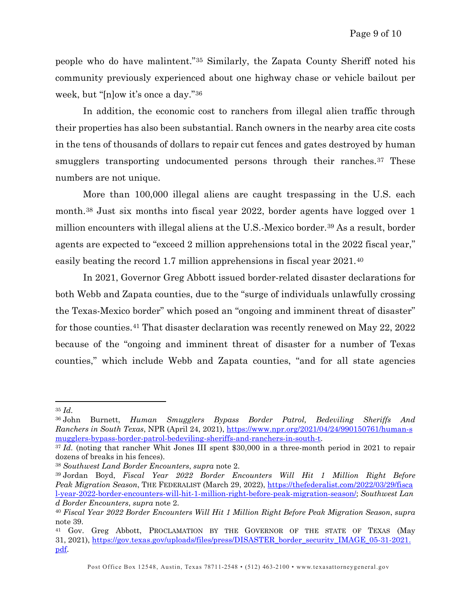people who do have malintent."[35](#page-8-0) Similarly, the Zapata County Sheriff noted his community previously experienced about one highway chase or vehicle bailout per week, but "[n]ow it's once a day."[36](#page-8-1) 

In addition, the economic cost to ranchers from illegal alien traffic through their properties has also been substantial. Ranch owners in the nearby area cite costs in the tens of thousands of dollars to repair cut fences and gates destroyed by human smugglers transporting undocumented persons through their ranches.<sup>[37](#page-8-2)</sup> These numbers are not unique.

More than 100,000 illegal aliens are caught trespassing in the U.S. each month.[38](#page-8-3) Just six months into fiscal year 2022, border agents have logged over 1 million encounters with illegal aliens at the U.S.-Mexico border.<sup>[39](#page-8-4)</sup> As a result, border agents are expected to "exceed 2 million apprehensions total in the 2022 fiscal year," easily beating the record 1.7 million apprehensions in fiscal year 2021.[40](#page-8-5) 

In 2021, Governor Greg Abbott issued border-related disaster declarations for both Webb and Zapata counties, due to the "surge of individuals unlawfully crossing the Texas-Mexico border" which posed an "ongoing and imminent threat of disaster" for those counties.[41](#page-8-6) That disaster declaration was recently renewed on May 22, 2022 because of the "ongoing and imminent threat of disaster for a number of Texas counties," which include Webb and Zapata counties, "and for all state agencies

<span id="page-8-0"></span><sup>35</sup> *Id.*

<span id="page-8-1"></span><sup>36</sup> John Burnett, *Human Smugglers Bypass Border Patrol, Bedeviling Sheriffs And Ranchers in South Texas*, NPR (April 24, 2021), [https://www.npr.org/2021/04/24/990150761/human-s](https://www.npr.org/2021/04/24/990150761/human-smugglers-bypass-border-patrol-bedeviling-sheriffs-and-ranchers-in-south-t) [mugglers-bypass-border-patrol-bedeviling-sheriffs-and-ranchers-in-south-t.](https://www.npr.org/2021/04/24/990150761/human-smugglers-bypass-border-patrol-bedeviling-sheriffs-and-ranchers-in-south-t)<br><sup>37</sup> *Id.* (noting that rancher Whit Jones III spent \$30,000 in a three-month period in 2021 to repair

<span id="page-8-2"></span>dozens of breaks in his fences).

<span id="page-8-3"></span><sup>38</sup> *Southwest Land Border Encounters*, *supra* note 2.

<span id="page-8-4"></span><sup>39</sup> Jordan Boyd, *Fiscal Year 2022 Border Encounters Will Hit 1 Million Right Before Peak Migration Season*, THE FEDERALIST (March 29, 2022), [https://thefederalist.com/2022/03/29/fisca](https://thefederalist.com/2022/03/29/fiscal-year-2022-border-encounters-will-hit-1-million-right-before-peak%1emigration%1eseason/) [l-year-2022-border-encounters-will-hit-1-million-right-before-peak-migration-season/;](https://thefederalist.com/2022/03/29/fiscal-year-2022-border-encounters-will-hit-1-million-right-before-peak%1emigration%1eseason/) *Southwest Lan d Border Encounters*, *supra* note 2.

<span id="page-8-5"></span><sup>40</sup> *Fiscal Year 2022 Border Encounters Will Hit 1 Million Right Before Peak Migration Season*, *supra* note 39.<br><sup>41</sup> Gov. Greg Abbott, Proclamation by the Governor of the state of Texas (May

<span id="page-8-6"></span><sup>31,</sup> 2021), [https://gov.texas.gov/uploads/files/press/DISASTER\\_border\\_security\\_IMAGE\\_05-31-2021.](https://gov.texas.gov/uploads/files/press/DISASTER_border_security_IMAGE_05-31-2021.pdf) [pdf.](https://gov.texas.gov/uploads/files/press/DISASTER_border_security_IMAGE_05-31-2021.pdf)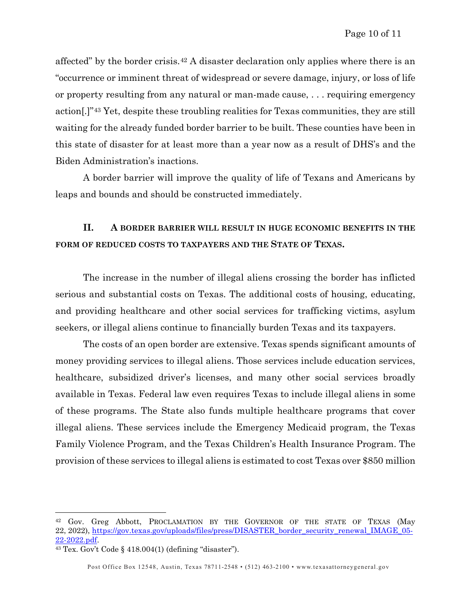affected" by the border crisis.[42](#page-9-0) A disaster declaration only applies where there is an "occurrence or imminent threat of widespread or severe damage, injury, or loss of life or property resulting from any natural or man-made cause, . . . requiring emergency action[.]"[43](#page-9-1) Yet, despite these troubling realities for Texas communities, they are still waiting for the already funded border barrier to be built. These counties have been in this state of disaster for at least more than a year now as a result of DHS's and the Biden Administration's inactions.

A border barrier will improve the quality of life of Texans and Americans by leaps and bounds and should be constructed immediately.

## **II. A BORDER BARRIER WILL RESULT IN HUGE ECONOMIC BENEFITS IN THE FORM OF REDUCED COSTS TO TAXPAYERS AND THE STATE OF TEXAS.**

The increase in the number of illegal aliens crossing the border has inflicted serious and substantial costs on Texas. The additional costs of housing, educating, and providing healthcare and other social services for trafficking victims, asylum seekers, or illegal aliens continue to financially burden Texas and its taxpayers.

The costs of an open border are extensive. Texas spends significant amounts of money providing services to illegal aliens. Those services include education services, healthcare, subsidized driver's licenses, and many other social services broadly available in Texas. Federal law even requires Texas to include illegal aliens in some of these programs. The State also funds multiple healthcare programs that cover illegal aliens. These services include the Emergency Medicaid program, the Texas Family Violence Program, and the Texas Children's Health Insurance Program. The provision of these services to illegal aliens is estimated to cost Texas over \$850 million

<span id="page-9-0"></span><sup>42</sup> Gov. Greg Abbott, PROCLAMATION BY THE GOVERNOR OF THE STATE OF TEXAS (May 22, 2022), [https://gov.texas.gov/uploads/files/press/DISASTER\\_border\\_security\\_renewal\\_IMAGE\\_05-](https://gov.texas.gov/uploads/files/press/DISASTER_border_security_renewal_IMAGE_05-22-2022.pdf)  $\frac{22-2022.pdf}{43}$  Tex. Gov't Code § 418.004(1) (defining "disaster").

<span id="page-9-1"></span>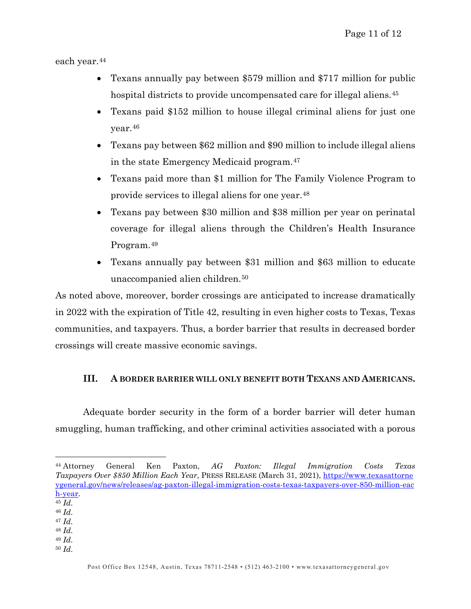each year.[44](#page-10-0) 

- Texans annually pay between \$579 million and \$717 million for public hospital districts to provide uncompensated care for illegal aliens.<sup>[45](#page-10-1)</sup>
- Texans paid \$152 million to house illegal criminal aliens for just one year.[46](#page-10-2)
- Texans pay between \$62 million and \$90 million to include illegal aliens in the state Emergency Medicaid program.[47](#page-10-3)
- Texans paid more than \$1 million for The Family Violence Program to provide services to illegal aliens for one year.[48](#page-10-4)
- Texans pay between \$30 million and \$38 million per year on perinatal coverage for illegal aliens through the Children's Health Insurance Program.[49](#page-10-5)
- Texans annually pay between \$31 million and \$63 million to educate unaccompanied alien children.[50](#page-10-6)

As noted above, moreover, border crossings are anticipated to increase dramatically in 2022 with the expiration of Title 42, resulting in even higher costs to Texas, Texas communities, and taxpayers. Thus, a border barrier that results in decreased border crossings will create massive economic savings.

### **III. A BORDER BARRIER WILL ONLY BENEFIT BOTH TEXANS AND AMERICANS.**

Adequate border security in the form of a border barrier will deter human smuggling, human trafficking, and other criminal activities associated with a porous

- <span id="page-10-3"></span><span id="page-10-2"></span><sup>46</sup> *Id.*
- <sup>47</sup> *Id.* <sup>48</sup> *Id.*
- <span id="page-10-4"></span><sup>49</sup> *Id.*
- <span id="page-10-6"></span><span id="page-10-5"></span><sup>50</sup> *Id.*

<span id="page-10-0"></span><sup>44</sup> Attorney General Ken Paxton, *AG Paxton: Illegal Immigration Costs Texas Taxpayers Over \$850 Million Each Year*, PRESS RELEASE (March 31, 2021), [https://www.texasattorne](https://www.texasattorneygeneral.gov/news/releases/ag-paxton-illegal-immigration-costs-texas-taxpayers-over-850-million-each-year) [ygeneral.gov/news/releases/ag-paxton-illegal-immigration-costs-texas-taxpayers-over-850-million-eac](https://www.texasattorneygeneral.gov/news/releases/ag-paxton-illegal-immigration-costs-texas-taxpayers-over-850-million-each-year) [h-year.](https://www.texasattorneygeneral.gov/news/releases/ag-paxton-illegal-immigration-costs-texas-taxpayers-over-850-million-each-year) 45 *Id.*

<span id="page-10-1"></span>